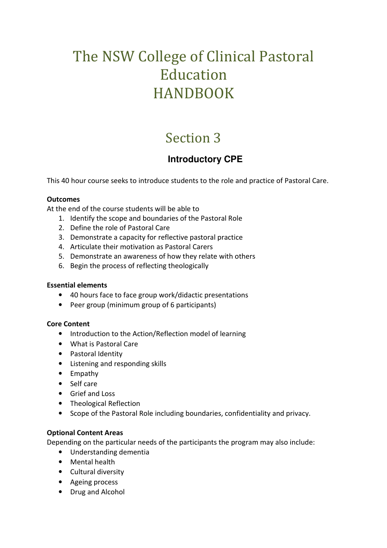# The NSW College of Clinical Pastoral Education HANDBOOK

## Section 3

### **Introductory CPE**

This 40 hour course seeks to introduce students to the role and practice of Pastoral Care.

#### **Outcomes**

At the end of the course students will be able to

- 1. Identify the scope and boundaries of the Pastoral Role
- 2. Define the role of Pastoral Care
- 3. Demonstrate a capacity for reflective pastoral practice
- 4. Articulate their motivation as Pastoral Carers
- 5. Demonstrate an awareness of how they relate with others
- 6. Begin the process of reflecting theologically

#### **Essential elements**

- 40 hours face to face group work/didactic presentations
- Peer group (minimum group of 6 participants)

#### **Core Content**

- Introduction to the Action/Reflection model of learning
- What is Pastoral Care
- Pastoral Identity
- Listening and responding skills
- Empathy
- Self care
- Grief and Loss
- Theological Reflection
- Scope of the Pastoral Role including boundaries, confidentiality and privacy.

#### **Optional Content Areas**

Depending on the particular needs of the participants the program may also include:

- Understanding dementia
- Mental health
- Cultural diversity
- Ageing process
- Drug and Alcohol